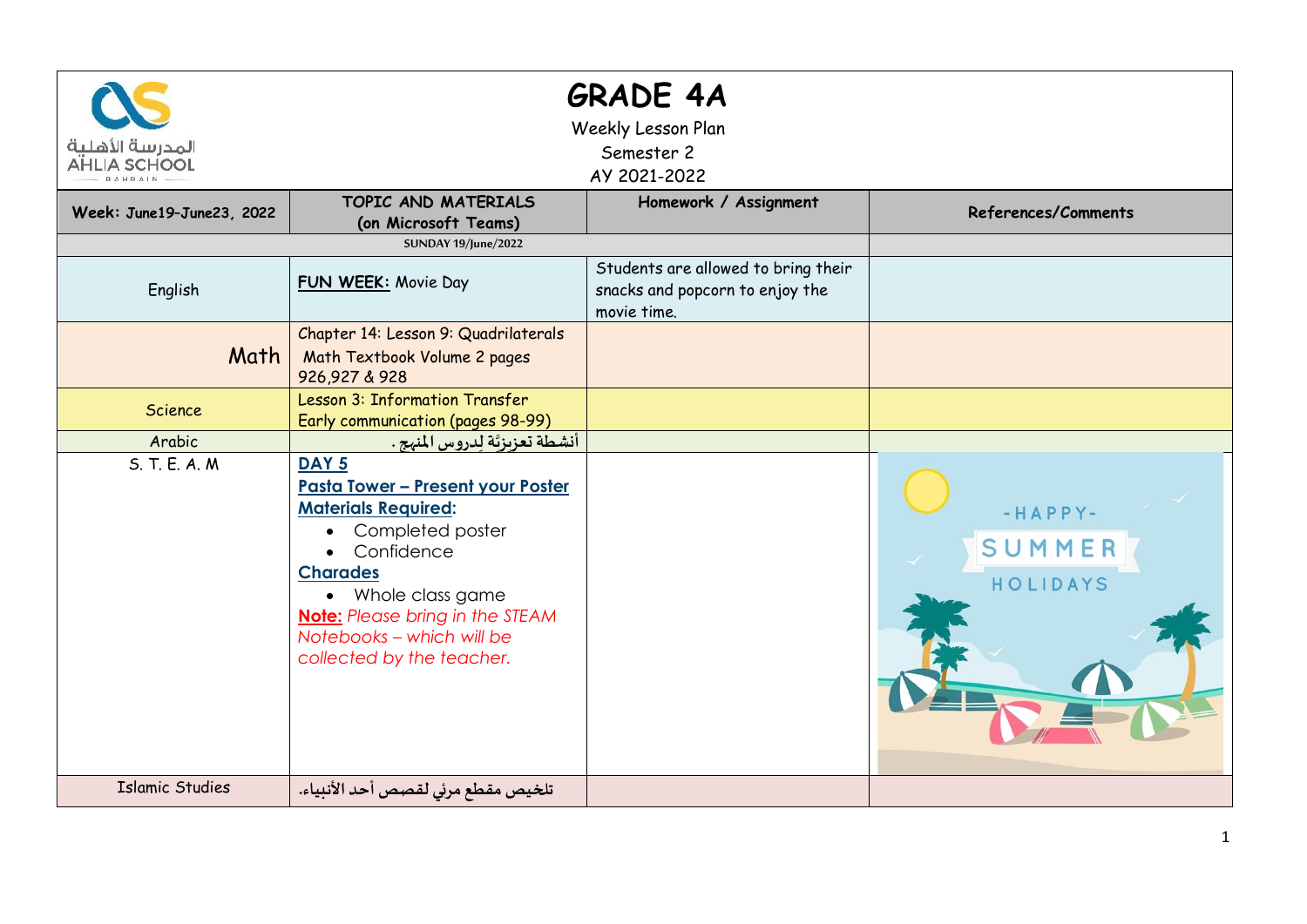| <b>GRADE 4A</b><br>Weekly Lesson Plan<br>المدرسة الأهلية<br>Semester 2<br><b>AHLIA SCHOOL</b><br>AY 2021-2022 |                                                                                                                                                                                                                                                                                          |                                                                                       |                                 |  |  |  |
|---------------------------------------------------------------------------------------------------------------|------------------------------------------------------------------------------------------------------------------------------------------------------------------------------------------------------------------------------------------------------------------------------------------|---------------------------------------------------------------------------------------|---------------------------------|--|--|--|
| Week: June19-June23, 2022                                                                                     | TOPIC AND MATERIALS<br>(on Microsoft Teams)                                                                                                                                                                                                                                              | Homework / Assignment                                                                 | References/Comments             |  |  |  |
|                                                                                                               | <b>SUNDAY 19/June/2022</b>                                                                                                                                                                                                                                                               |                                                                                       |                                 |  |  |  |
| English                                                                                                       | FUN WEEK: Movie Day                                                                                                                                                                                                                                                                      | Students are allowed to bring their<br>snacks and popcorn to enjoy the<br>movie time. |                                 |  |  |  |
| Math                                                                                                          | Chapter 14: Lesson 9: Quadrilaterals<br>Math Textbook Volume 2 pages<br>926,927 & 928                                                                                                                                                                                                    |                                                                                       |                                 |  |  |  |
| Science                                                                                                       | Lesson 3: Information Transfer<br>Early communication (pages 98-99)                                                                                                                                                                                                                      |                                                                                       |                                 |  |  |  |
| Arabic                                                                                                        | أنشطة تعزيزتّة لدروس المنهج .                                                                                                                                                                                                                                                            |                                                                                       |                                 |  |  |  |
| S. T. E. A. M.                                                                                                | DAY <sub>5</sub><br><b>Pasta Tower - Present your Poster</b><br><b>Materials Required:</b><br>Completed poster<br>$\bullet$<br>• Confidence<br><b>Charades</b><br>• Whole class game<br><b>Note:</b> Please bring in the STEAM<br>Notebooks - which will be<br>collected by the teacher. |                                                                                       | $-HAPPY-$<br>SUMMER<br>HOLIDAYS |  |  |  |
| <b>Islamic Studies</b>                                                                                        | تلخيص مقطع مرئي لقصص أحد الأنبياء.                                                                                                                                                                                                                                                       |                                                                                       |                                 |  |  |  |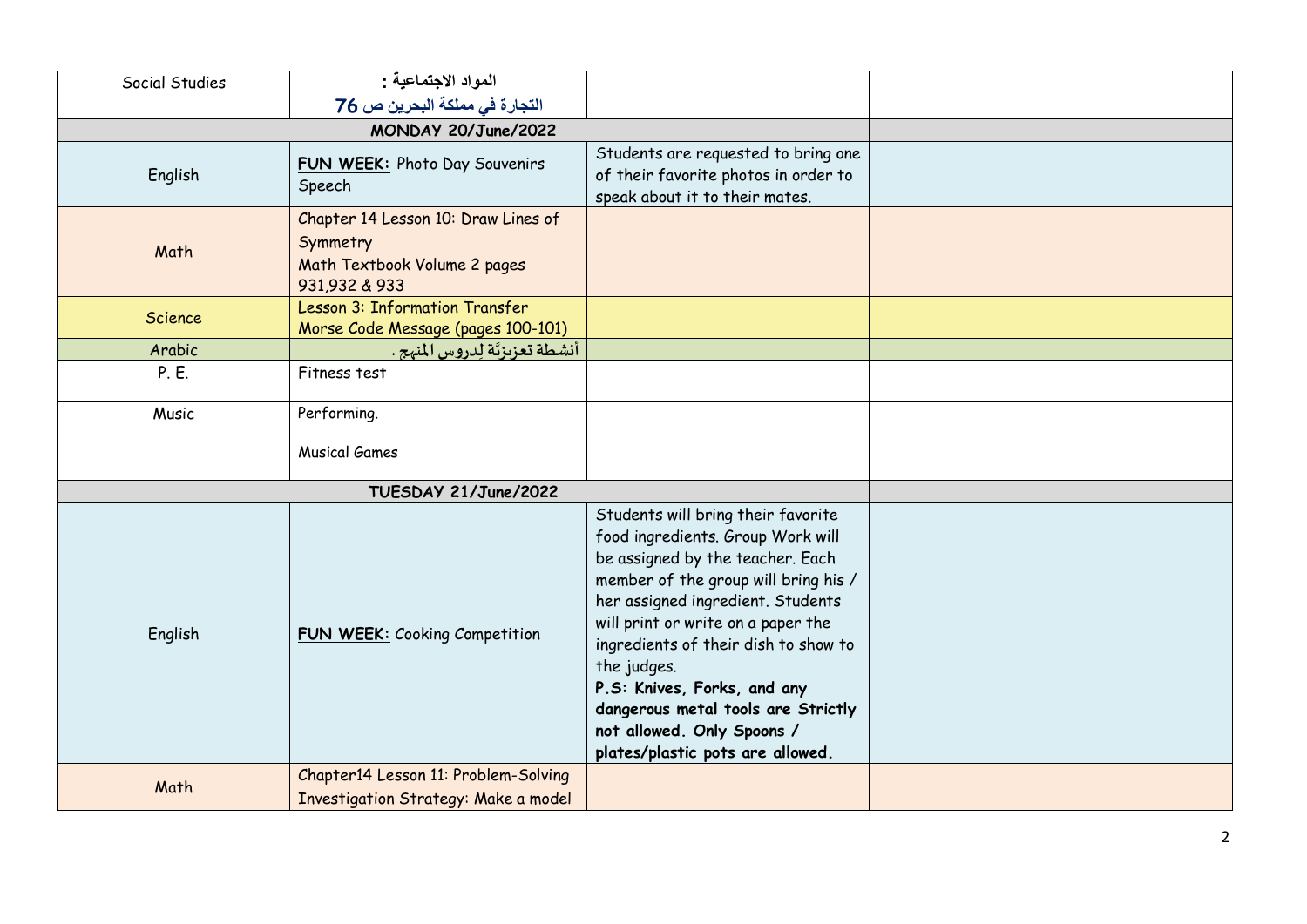| Social Studies | المواد الاجتماعية :                                                                              |                                                                                                                                                                                                                                                                                                                                                                                                                              |  |
|----------------|--------------------------------------------------------------------------------------------------|------------------------------------------------------------------------------------------------------------------------------------------------------------------------------------------------------------------------------------------------------------------------------------------------------------------------------------------------------------------------------------------------------------------------------|--|
|                | التجارة في مملكة البحرين ص 76                                                                    |                                                                                                                                                                                                                                                                                                                                                                                                                              |  |
|                |                                                                                                  |                                                                                                                                                                                                                                                                                                                                                                                                                              |  |
| English        | FUN WEEK: Photo Day Souvenirs<br>Speech                                                          | Students are requested to bring one<br>of their favorite photos in order to<br>speak about it to their mates.                                                                                                                                                                                                                                                                                                                |  |
| Math           | Chapter 14 Lesson 10: Draw Lines of<br>Symmetry<br>Math Textbook Volume 2 pages<br>931,932 & 933 |                                                                                                                                                                                                                                                                                                                                                                                                                              |  |
| <b>Science</b> | Lesson 3: Information Transfer<br>Morse Code Message (pages 100-101)                             |                                                                                                                                                                                                                                                                                                                                                                                                                              |  |
| Arabic         | أنشطة تعزيزتّة لِدروس المنهج .                                                                   |                                                                                                                                                                                                                                                                                                                                                                                                                              |  |
| P. E.          | Fitness test                                                                                     |                                                                                                                                                                                                                                                                                                                                                                                                                              |  |
| Music          | Performing.                                                                                      |                                                                                                                                                                                                                                                                                                                                                                                                                              |  |
|                | <b>Musical Games</b>                                                                             |                                                                                                                                                                                                                                                                                                                                                                                                                              |  |
|                | TUESDAY 21/June/2022                                                                             |                                                                                                                                                                                                                                                                                                                                                                                                                              |  |
| English        | <b>FUN WEEK: Cooking Competition</b>                                                             | Students will bring their favorite<br>food ingredients. Group Work will<br>be assigned by the teacher. Each<br>member of the group will bring his /<br>her assigned ingredient. Students<br>will print or write on a paper the<br>ingredients of their dish to show to<br>the judges.<br>P.S: Knives, Forks, and any<br>dangerous metal tools are Strictly<br>not allowed. Only Spoons /<br>plates/plastic pots are allowed. |  |
| Math           | Chapter14 Lesson 11: Problem-Solving<br>Investigation Strategy: Make a model                     |                                                                                                                                                                                                                                                                                                                                                                                                                              |  |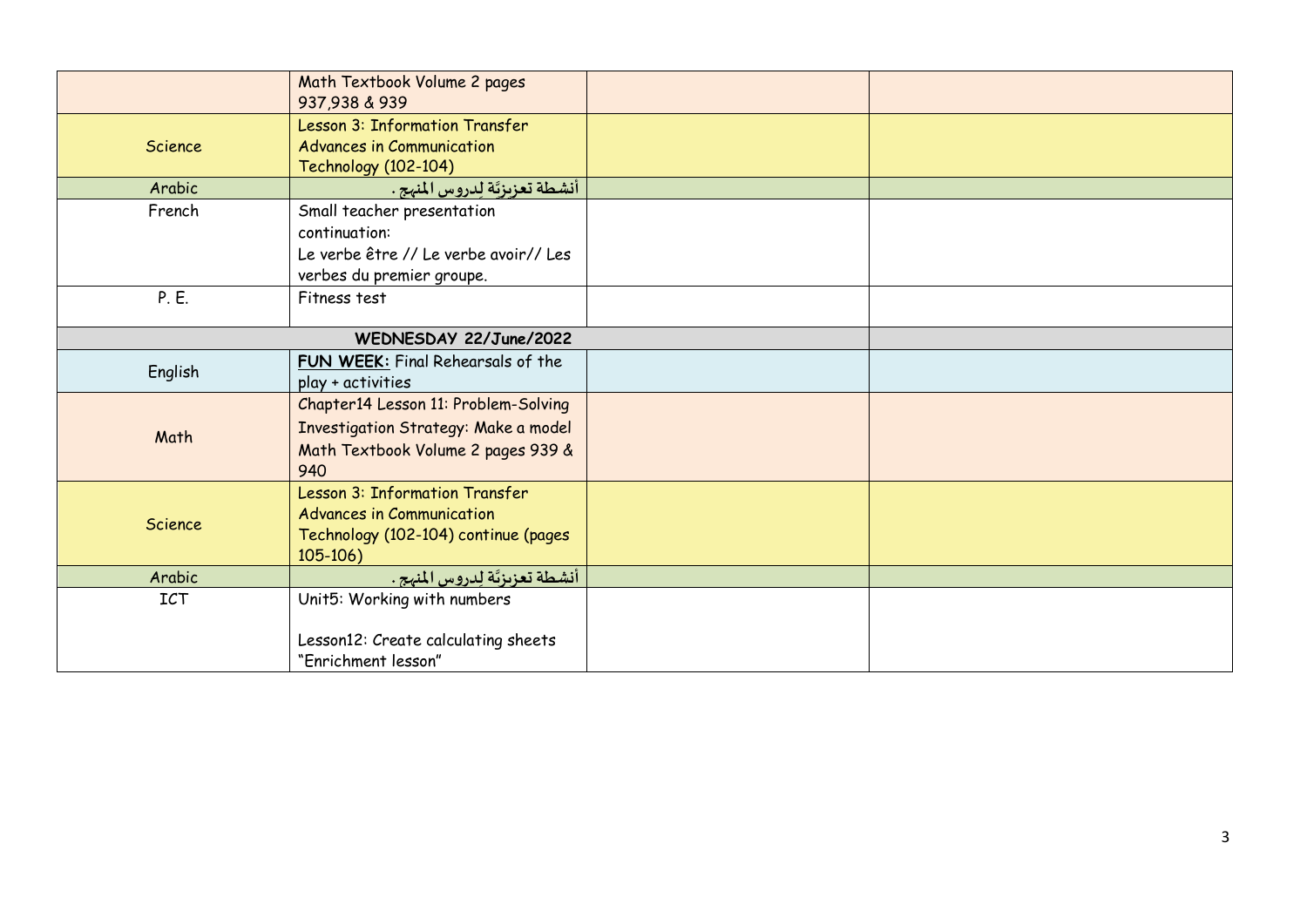|                        | Math Textbook Volume 2 pages<br>937,938 & 939          |  |  |
|------------------------|--------------------------------------------------------|--|--|
|                        | Lesson 3: Information Transfer                         |  |  |
| Science                | <b>Advances in Communication</b>                       |  |  |
|                        | <b>Technology (102-104)</b>                            |  |  |
| Arabic                 | أنشطة تعزيزتَة لِدروس المنهج .                         |  |  |
| French                 | Small teacher presentation                             |  |  |
|                        | continuation:                                          |  |  |
|                        | Le verbe être // Le verbe avoir// Les                  |  |  |
|                        | verbes du premier groupe.                              |  |  |
| P. E.                  | Fitness test                                           |  |  |
| WEDNESDAY 22/June/2022 |                                                        |  |  |
| English                | FUN WEEK: Final Rehearsals of the<br>play + activities |  |  |
|                        | Chapter14 Lesson 11: Problem-Solving                   |  |  |
|                        | Investigation Strategy: Make a model                   |  |  |
| Math                   | Math Textbook Volume 2 pages 939 &                     |  |  |
|                        | 940                                                    |  |  |
|                        | Lesson 3: Information Transfer                         |  |  |
| <b>Science</b>         | <b>Advances in Communication</b>                       |  |  |
|                        | Technology (102-104) continue (pages                   |  |  |
|                        | $105-106$                                              |  |  |
| Arabic                 | أنشطة تعزيزتَة لِدروس المنهج .                         |  |  |
| <b>ICT</b>             | Unit5: Working with numbers                            |  |  |
|                        |                                                        |  |  |
|                        | Lesson12: Create calculating sheets                    |  |  |
|                        | "Enrichment lesson"                                    |  |  |